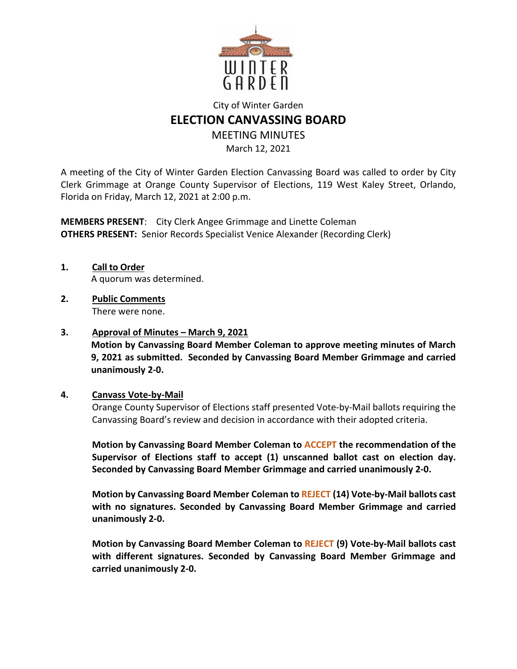

# City of Winter Garden **ELECTION CANVASSING BOARD**

MEETING MINUTES

March 12, 2021

A meeting of the City of Winter Garden Election Canvassing Board was called to order by City Clerk Grimmage at Orange County Supervisor of Elections, 119 West Kaley Street, Orlando, Florida on Friday, March 12, 2021 at 2:00 p.m.

**MEMBERS PRESENT**: City Clerk Angee Grimmage and Linette Coleman **OTHERS PRESENT:** Senior Records Specialist Venice Alexander (Recording Clerk)

- **1. Call to Order**  A quorum was determined.
- **2. Public Comments**  There were none.
- **3. Approval of Minutes March 9, 2021**

**Motion by Canvassing Board Member Coleman to approve meeting minutes of March 9, 2021 as submitted. Seconded by Canvassing Board Member Grimmage and carried unanimously 2-0.** 

## **4. Canvass Vote-by-Mail**

Orange County Supervisor of Elections staff presented Vote-by-Mail ballots requiring the Canvassing Board's review and decision in accordance with their adopted criteria.

**Motion by Canvassing Board Member Coleman to ACCEPT the recommendation of the Supervisor of Elections staff to accept (1) unscanned ballot cast on election day. Seconded by Canvassing Board Member Grimmage and carried unanimously 2-0.** 

**Motion by Canvassing Board Member Coleman to REJECT (14) Vote-by-Mail ballots cast with no signatures. Seconded by Canvassing Board Member Grimmage and carried unanimously 2-0.** 

**Motion by Canvassing Board Member Coleman to REJECT (9) Vote-by-Mail ballots cast with different signatures. Seconded by Canvassing Board Member Grimmage and carried unanimously 2-0.**